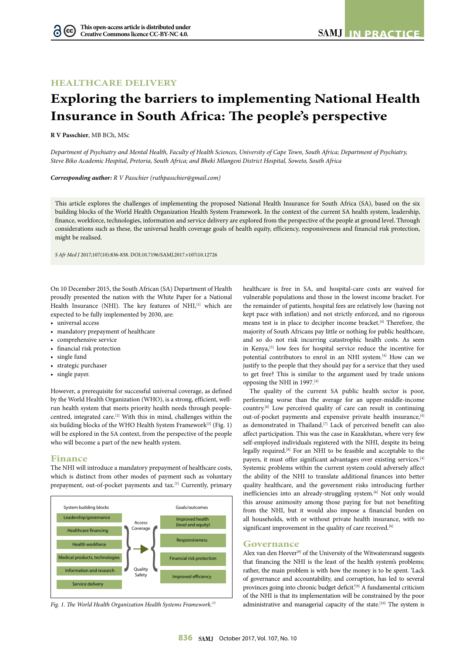## **HEALTHCARE DELIVERY**

# **Exploring the barriers to implementing National Health Insurance in South Africa: The people's perspective**

**R V Passchier**, MB BCh, MSc

6

*Department of Psychiatry and Mental Health, Faculty of Health Sciences, University of Cape Town, South Africa; Department of Psychiatry, Steve Biko Academic Hospital, Pretoria, South Africa; and Bheki Mlangeni District Hospital, Soweto, South Africa*

*Corresponding author: R V Passchier (ruthpasschier@gmail.com)*

This article explores the challenges of implementing the proposed National Health Insurance for South Africa (SA), based on the six building blocks of the World Health Organization Health System Framework. In the context of the current SA health system, leadership, finance, workforce, technologies, information and service delivery are explored from the perspective of the people at ground level. Through considerations such as these, the universal health coverage goals of health equity, efficiency, responsiveness and financial risk protection, might be realised.

*S Afr Med J* 2017;107(10):836-838. DOI:10.7196/SAMJ.2017.v107i10.12726

On 10 December 2015, the South African (SA) Department of Health proudly presented the nation with the White Paper for a National Health Insurance (NHI). The key features of NHI, [1] which are expected to be fully implemented by 2030, are:

- universal access
- mandatory prepayment of healthcare
- comprehensive service
- financial risk protection
- single fund
- strategic purchaser
- single payer.

However, a prerequisite for successful universal coverage, as defined by the World Health Organization (WHO), is a strong, efficient, wellrun health system that meets priority health needs through peoplecentred, integrated care.<sup>[2]</sup> With this in mind, challenges within the six building blocks of the WHO Health System Framework<sup>[3]</sup> (Fig. 1) will be explored in the SA context, from the perspective of the people who will become a part of the new health system.

## **Finance**

The NHI will introduce a mandatory prepayment of healthcare costs, which is distinct from other modes of payment such as voluntary prepayment, out-of-pocket payments and tax.<sup>[1]</sup> Currently, primary



*Fig. 1. The World Health Organization Health Systems Framework.[3]*

healthcare is free in SA, and hospital-care costs are waived for vulnerable populations and those in the lowest income bracket. For the remainder of patients, hospital fees are relatively low (having not kept pace with inflation) and not strictly enforced, and no rigorous means test is in place to decipher income bracket.[4] Therefore, the majority of South Africans pay little or nothing for public healthcare, and so do not risk incurring catastrophic health costs. As seen in Kenya,<sup>[5]</sup> low fees for hospital service reduce the incentive for potential contributors to enrol in an NHI system.<sup>[4]</sup> How can we justify to the people that they should pay for a service that they used to get free? This is similar to the argument used by trade unions opposing the NHI in 1997.[4]

The quality of the current SA public health sector is poor, performing worse than the average for an upper-middle-income country.[6] Low perceived quality of care can result in continuing out-of-pocket payments and expensive private health insurance, [4] as demonstrated in Thailand.<sup>[7]</sup> Lack of perceived benefit can also affect participation. This was the case in Kazakhstan, where very few self-employed individuals registered with the NHI, despite its being legally required.[8] For an NHI to be feasible and acceptable to the payers, it must offer significant advantages over existing services.[4] Systemic problems within the current system could adversely affect the ability of the NHI to translate additional finances into better quality healthcare, and the government risks introducing further inefficiencies into an already-struggling system.<sup>[6]</sup> Not only would this arouse animosity among those paying for but not benefiting from the NHI, but it would also impose a financial burden on all households, with or without private health insurance, with no significant improvement in the quality of care received.<sup>[6]</sup>

#### **Governance**

Alex van den Heever<sup>[9]</sup> of the University of the Witwatersrand suggests that financing the NHI is the least of the health system's problems; rather, the main problem is with how the money is to be spent. 'Lack of governance and accountability, and corruption, has led to several provinces going into chronic budget deficit.'<sup>[9]</sup> A fundamental criticism of the NHI is that its implementation will be constrained by the poor administrative and managerial capacity of the state.<sup>[10]</sup> The system is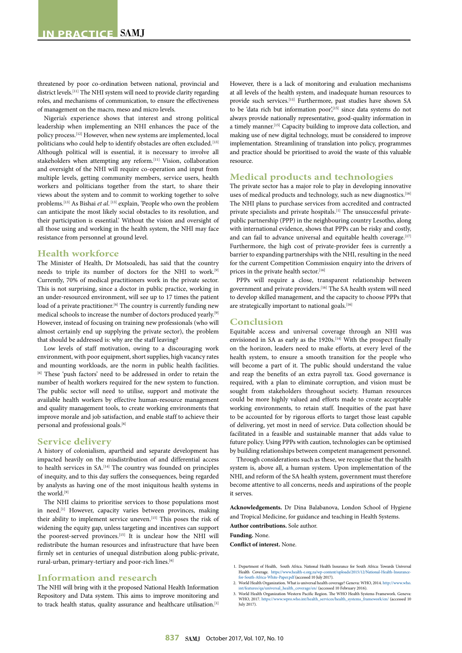threatened by poor co-ordination between national, provincial and district levels.[11] The NHI system will need to provide clarity regarding roles, and mechanisms of communication, to ensure the effectiveness of management on the macro, meso and micro levels.

Nigeria's experience shows that interest and strong political leadership when implementing an NHI enhances the pace of the policy process.[12] However, when new systems are implemented, local politicians who could help to identify obstacles are often excluded.<sup>[13]</sup> Although political will is essential, it is necessary to involve all stakeholders when attempting any reform.[11] Vision, collaboration and oversight of the NHI will require co-operation and input from multiple levels, getting community members, service users, health workers and politicians together from the start, to share their views about the system and to commit to working together to solve problems.<sup>[13]</sup> As Bishai *et al*.<sup>[13]</sup> explain, 'People who own the problem can anticipate the most likely social obstacles to its resolution, and their participation is essential.' Without the vision and oversight of all those using and working in the health system, the NHI may face resistance from personnel at ground level.

#### **Health workforce**

The Minister of Health, Dr Motsoaledi, has said that the country needs to triple its number of doctors for the NHI to work.[9] Currently, 70% of medical practitioners work in the private sector. This is not surprising, since a doctor in public practice, working in an under-resourced environment, will see up to 17 times the patient load of a private practitioner.<sup>[6]</sup> The country is currently funding new medical schools to increase the number of doctors produced yearly.[9] However, instead of focusing on training new professionals (who will almost certainly end up supplying the private sector), the problem that should be addressed is: why are the staff leaving?

Low levels of staff motivation, owing to a discouraging work environment, with poor equipment, short supplies, high vacancy rates and mounting workloads, are the norm in public health facilities. [6] These 'push factors' need to be addressed in order to retain the number of health workers required for the new system to function. The public sector will need to utilise, support and motivate the available health workers by effective human-resource management and quality management tools, to create working environments that improve morale and job satisfaction, and enable staff to achieve their personal and professional goals.<sup>[6]</sup>

#### **Service delivery**

A history of colonialism, apartheid and separate development has impacted heavily on the misdistribution of and differential access to health services in SA.<sup>[14]</sup> The country was founded on principles of inequity, and to this day suffers the consequences, being regarded by analysts as having one of the most iniquitous health systems in the world.[9]

The NHI claims to prioritise services to those populations most in need.<sup>[1]</sup> However, capacity varies between provinces, making their ability to implement service uneven.<sup>[15]</sup> This poses the risk of widening the equity gap, unless targeting and incentives can support the poorest-served provinces.<sup>[15]</sup> It is unclear how the NHI will redistribute the human resources and infrastructure that have been firmly set in centuries of unequal distribution along public-private, rural-urban, primary-tertiary and poor-rich lines.<sup>[6]</sup>

### **Information and research**

The NHI will bring with it the proposed National Health Information Repository and Data system. This aims to improve monitoring and to track health status, quality assurance and healthcare utilisation.<sup>[1]</sup> However, there is a lack of monitoring and evaluation mechanisms at all levels of the health system, and inadequate human resources to provide such services.[11] Furthermore, past studies have shown SA to be 'data rich but information poor',<sup>[15]</sup> since data systems do not always provide nationally representative, good-quality information in a timely manner.[15] Capacity building to improve data collection, and making use of new digital technology, must be considered to improve implementation. Streamlining of translation into policy, programmes and practice should be prioritised to avoid the waste of this valuable resource.

## **Medical products and technologies**

The private sector has a major role to play in developing innovative uses of medical products and technology, such as new diagnostics.<sup>[16]</sup> The NHI plans to purchase services from accredited and contracted private specialists and private hospitals.[1] The unsuccessful privatepublic partnership (PPP) in the neighbouring country Lesotho, along with international evidence, shows that PPPs can be risky and costly, and can fail to advance universal and equitable health coverage.[17] Furthermore, the high cost of private-provider fees is currently a barrier to expanding partnerships with the NHI, resulting in the need for the current Competition Commission enquiry into the drivers of prices in the private health sector.<sup>[16]</sup>

PPPs will require a close, transparent relationship between government and private providers.<sup>[16]</sup> The SA health system will need to develop skilled management, and the capacity to choose PPPs that are strategically important to national goals.<sup>[16]</sup>

## **Conclusion**

Equitable access and universal coverage through an NHI was envisioned in SA as early as the 1920s.<sup>[14]</sup> With the prospect finally on the horizon, leaders need to make efforts, at every level of the health system, to ensure a smooth transition for the people who will become a part of it. The public should understand the value and reap the benefits of an extra payroll tax. Good governance is required, with a plan to eliminate corruption, and vision must be sought from stakeholders throughout society. Human resources could be more highly valued and efforts made to create acceptable working environments, to retain staff. Inequities of the past have to be accounted for by rigorous efforts to target those least capable of delivering, yet most in need of service. Data collection should be facilitated in a feasible and sustainable manner that adds value to future policy. Using PPPs with caution, technologies can be optimised by building relationships between competent management personnel.

Through considerations such as these, we recognise that the health system is, above all, a human system. Upon implementation of the NHI, and reform of the SA health system, government must therefore become attentive to all concerns, needs and aspirations of the people it serves.

**Acknowledgements.** Dr Dina Balabanova, London School of Hygiene and Tropical Medicine, for guidance and teaching in Health Systems. **Author contributions.** Sole author.

**Funding.** None.

**Conflict of interest.** None.

- 1. Department of Health, South Africa. National Health Insurance for South Africa: Towards Universal Health Coverage. [https://www.health-e.org.za/wp-content/uploads/2015/12/National-Health-Insurance-](https://www.health-e.org.za/wp-content/uploads/2015/12/National-Health-Insurance-for-South-Africa-White-Paper.pdf)[for-South-Africa-White-Paper.pdf](https://www.health-e.org.za/wp-content/uploads/2015/12/National-Health-Insurance-for-South-Africa-White-Paper.pdf) (accessed 10 July 2017).
- 2. World Health Organization. What is universal health coverage? Geneva: WHO, 2014. [http://www.who.](http://www.who.int/features/qa/universal_health_coverage/en/) res/qa/universal\_health\_coverage/en/ (accessed 10 February 2016).
- 3. World Health Organization Western Pacific Region. The WHO Health Systems Framework. Geneva: WHO, 2017. [https://www.wpro.who.int/health\\_services/health\\_systems\\_framework/en/](https://www.wpro.who.int/health_services/health_systems_framework/en/) (accessed 10 July 2017).